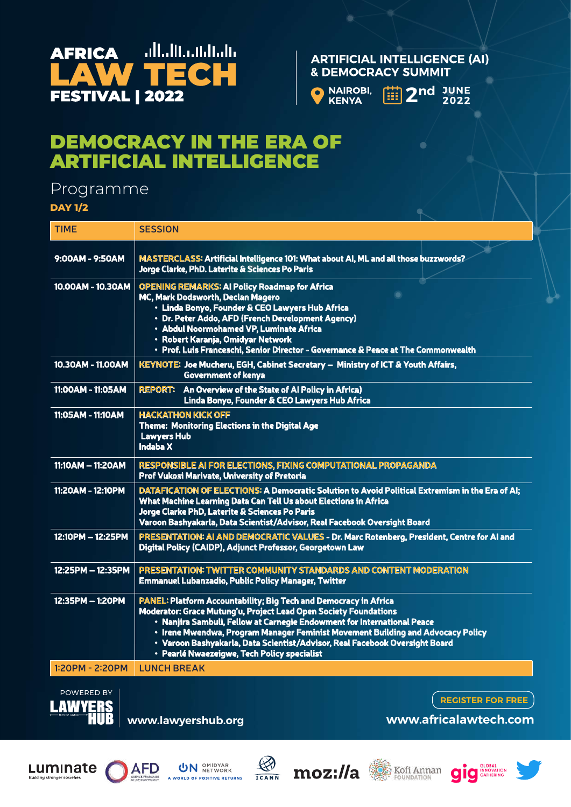

#### **ARTIFICIAL INTELLIGENCE (AI) & DEMOCRACY SUMMIT**



曲 2nd JUNE<br>2022

# DEMOCRACY IN THE ERA OF ARTIFICIAL INTELLIGENCE

## Programme

**DAY 1/2**

| <b>TIME</b>       | <b>SESSION</b>                                                                                                                                                                                                                                                                                                                                                                                                                          |
|-------------------|-----------------------------------------------------------------------------------------------------------------------------------------------------------------------------------------------------------------------------------------------------------------------------------------------------------------------------------------------------------------------------------------------------------------------------------------|
| 9:00AM - 9:50AM   | MASTERCLASS: Artificial Intelligence 101: What about AI, ML and all those buzzwords?<br>Jorge Clarke, PhD. Laterite & Sciences Po Paris                                                                                                                                                                                                                                                                                                 |
| 10.00AM - 10.30AM | <b>OPENING REMARKS: AI Policy Roadmap for Africa</b><br>MC, Mark Dodsworth, Declan Magero<br>· Linda Bonyo, Founder & CEO Lawyers Hub Africa<br>• Dr. Peter Addo, AFD (French Development Agency)<br>• Abdul Noormohamed VP, Luminate Africa<br>• Robert Karanja, Omidyar Network<br>• Prof. Luis Franceschi, Senior Director - Governance & Peace at The Commonwealth                                                                  |
| 10.30AM - 11.00AM | KEYNOTE: Joe Mucheru, EGH, Cabinet Secretary - Ministry of ICT & Youth Affairs,<br><b>Government of kenya</b>                                                                                                                                                                                                                                                                                                                           |
| 11:00AM - 11:05AM | <b>REPORT:</b> An Overview of the State of Al Policy in Africa)<br>Linda Bonyo, Founder & CEO Lawyers Hub Africa                                                                                                                                                                                                                                                                                                                        |
| 11:05AM - 11:10AM | <b>HACKATHON KICK OFF</b><br>Theme: Monitoring Elections in the Digital Age<br><b>Lawyers Hub</b><br><b>Indaba X</b>                                                                                                                                                                                                                                                                                                                    |
| 11:10AM - 11:20AM | RESPONSIBLE AI FOR ELECTIONS, FIXING COMPUTATIONAL PROPAGANDA<br>Prof Vukosi Marivate, University of Pretoria                                                                                                                                                                                                                                                                                                                           |
| 11:20AM - 12:10PM | DATAFICATION OF ELECTIONS: A Democratic Solution to Avoid Political Extremism in the Era of AI;<br>What Machine Learning Data Can Tell Us about Elections in Africa<br>Jorge Clarke PhD, Laterite & Sciences Po Paris<br>Varoon Bashyakarla, Data Scientist/Advisor, Real Facebook Oversight Board                                                                                                                                      |
| 12:10PM - 12:25PM | PRESENTATION: AI AND DEMOCRATIC VALUES - Dr. Marc Rotenberg, President, Centre for AI and<br>Digital Policy (CAIDP), Adjunct Professor, Georgetown Law                                                                                                                                                                                                                                                                                  |
| 12:25PM - 12:35PM | PRESENTATION: TWITTER COMMUNITY STANDARDS AND CONTENT MODERATION<br><b>Emmanuel Lubanzadio, Public Policy Manager, Twitter</b>                                                                                                                                                                                                                                                                                                          |
| 12:35PM - 1:20PM  | <b>PANEL: Platform Accountability; Big Tech and Democracy in Africa</b><br>Moderator: Grace Mutung'u, Project Lead Open Society Foundations<br>• Nanjira Sambuli, Fellow at Carnegie Endowment for International Peace<br>. Irene Mwendwa, Program Manager Feminist Movement Building and Advocacy Policy<br>· Varoon Bashyakarla, Data Scientist/Advisor, Real Facebook Oversight Board<br>· Pearlé Nwaezeigwe, Tech Policy specialist |
| 1:20PM - 2:20PM   | <b>LUNCH BREAK</b>                                                                                                                                                                                                                                                                                                                                                                                                                      |
|                   |                                                                                                                                                                                                                                                                                                                                                                                                                                         |



**www.lawyershub.org**

**REGISTER FOR FREE**

**www.africalawtech.com**